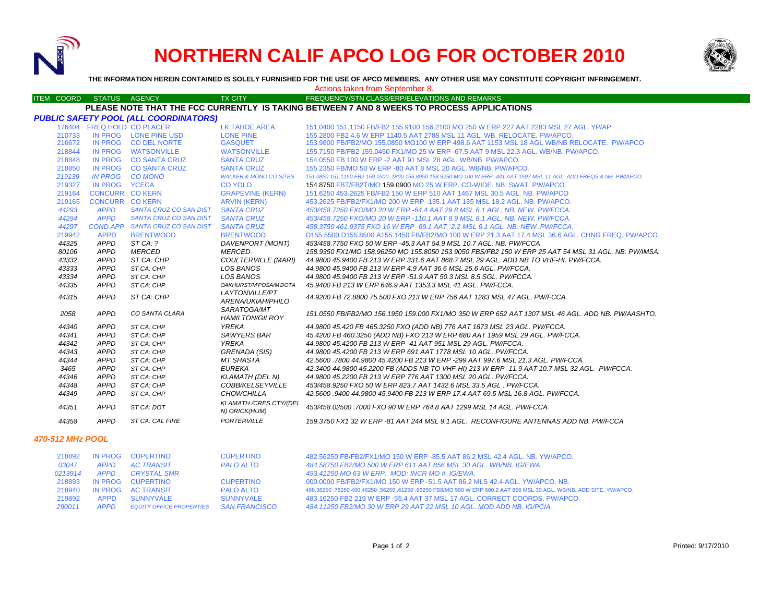

# **NORTHERN CALIF APCO LOG FOR OCTOBER 2010**



**THE INFORMATION HEREIN CONTAINED IS SOLELY FURNISHED FOR THE USE OF APCO MEMBERS. ANY OTHER USE MAY CONSTITUTE COPYRIGHT INFRINGEMENT.**

Actions taken from September 8.

### ITEM COORD STATUS AGENCY TX CITY TIREQUENCY/STN CLASS/ERP/ELEVATIONS AND REMARKS **PLEASE NOTE THAT THE FCC CURRENTLY IS TAKING BETWEEN 7 AND 8 WEEKS TO PROCESS APPLICATIONS**

|        |                            | PUBLIC SAFETY POOL (ALL COORDINATORS) |                                               |                                                                                                                        |
|--------|----------------------------|---------------------------------------|-----------------------------------------------|------------------------------------------------------------------------------------------------------------------------|
|        | 176404 FREQ HOLD CO PLACER |                                       | <b>LK TAHOE AREA</b>                          | 151.0400 151.1150 FB/FB2 155.9100 156.2100 MO 250 W ERP 227 AAT 2283 MSL 27 AGL, YP/AP                                 |
| 210733 |                            | IN PROG LONE PINE USD                 | <b>LONE PINE</b>                              | 155,2800 FB2 4.6 W ERP 1140.5 AAT 2788 MSL 11 AGL, WB, RELOCATE, PW/APCO,                                              |
| 216672 |                            | IN PROG CO DEL NORTE                  | <b>GASQUET</b>                                | 153.9800 FB/FB2/MO 155.0850 MO100 W ERP 498.6 AAT 1153 MSL 18 AGL WB/NB RELOCATE. PW/APCO                              |
| 218844 |                            | IN PROG WATSONVILLE                   | <b>WATSONVILLE</b>                            | 155.7150 FB/FB2 159.0450 FX1/MO 25 W ERP -67.5 AAT 9 MSL 22.3 AGL, WB/NB, PW/APCO,                                     |
| 218848 |                            | IN PROG CO SANTA CRUZ                 | <b>SANTA CRUZ</b>                             | 154,0550 FB 100 W ERP -2 AAT 91 MSL 28 AGL, WB/NB, PW/APCO,                                                            |
| 218850 |                            | IN PROG CO SANTA CRUZ                 | <b>SANTA CRUZ</b>                             | 155,2350 FB/MO 50 W ERP -80 AAT 8 MSL 20 AGL, WB/NB, PW/APCO,                                                          |
| 219139 |                            | IN PROG CO MONO                       | <b>WALKER &amp; MONO CO SITES</b>             | 151.0850 151.1150 FB2 159.1500 .1800 155.8950 158.9250 MO 100 W ERP -441 AAT 1597 MSL 11 AGL. ADD FREQS & NB. PW/APCO. |
| 219327 | IN PROG YCECA              |                                       | <b>CO YOLO</b>                                | 154,8750 FBT/FB2T/MO 159,0900 MO 25 W ERP, CO-WIDE, NB, SWAT, PW/APCO,                                                 |
| 219164 | <b>CONCURR CO KERN</b>     |                                       | <b>GRAPEVINE (KERN)</b>                       | 151.6250 453.2625 FB/FB2 150 W ERP 510 AAT 1467 MSL 30.5 AGL, NB, PW/APCO                                              |
| 219165 | <b>CONCURR CO KERN</b>     |                                       | <b>ARVIN (KERN)</b>                           | 453.2625 FB/FB2/FX1/MO 200 W ERP -135.1 AAT 135 MSL 18.2 AGL. NB. PW/APCO.                                             |
| 44293  | <b>APPD</b>                | <b>SANTA CRUZ CO SAN DIST</b>         | <b>SANTA CRUZ</b>                             | 453/458.7250 FXO/MO 20 W ERP -64.4 AAT 29.8 MSL 6.1 AGL, NB, NEW, PW/FCCA,                                             |
| 44294  | <b>APPD</b>                | <b>SANTA CRUZ CO SAN DIST</b>         | <b>SANTA CRUZ</b>                             | 453/458.7250 FXO/MO 20 W ERP -110.1 AAT 9.9 MSL 6.1 AGL. NB. NEW. PW/FCCA.                                             |
| 44297  |                            | COND APP SANTA CRUZ CO SAN DIST       | <b>SANTA CRUZ</b>                             | 458.3750 461.9375 FXO 16 W ERP -69.1 AAT `2.2 MSL 6.1 AGL. NB. NEW. PW/FCCA.                                           |
| 219942 | <b>APPD</b>                | <b>BRENTWOOD</b>                      | <b>BRENTWOOD</b>                              | D155,5500 D155,8500 A155,1450 FB/FB2/MO 100 W ERP 21.3 AAT 17.4 MSL 36.6 AGL, CHNG FREQ, PW/APCO,                      |
| 44325  | APPD                       | STCA: ?                               | DAVENPORT (MONT)                              | 453/458.7750 FXO 50 W ERP -45.3 AAT 54.9 MSL 10.7 AGL. NB. PW/FCCA                                                     |
| 80106  | <b>APPD</b>                | <b>MERCED</b>                         | <b>MERCED</b>                                 | 158.9350 FX1/MO 158.96250 MO 155.8050 153.9050 FBS/FB2 150 W ERP 25 AAT 54 MSL 31 AGL. NB. PW/IMSA.                    |
| 43332  | <b>APPD</b>                | ST CA: CHP                            | <b>COULTERVILLE (MARI)</b>                    | 44.9800 45.9400 FB 213 W ERP 331.6 AAT 868.7 MSL 29 AGL. ADD NB TO VHF-HI. PW/FCCA.                                    |
| 43333  | APPD                       | ST CA: CHP                            | LOS BANOS                                     | 44.9800 45.9400 FB 213 W ERP 4.9 AAT 36.6 MSL 25.6 AGL, PW/FCCA.                                                       |
| 43334  | <b>APPD</b>                | ST CA: CHP                            | LOS BANOS                                     | 44.9800 45.9400 FB 213 W ERP -51.9 AAT 50.3 MSL 8.5 SGL, PW/FCCA.                                                      |
| 44335  | <b>APPD</b>                | ST CA: CHP                            | OAKHURST/M'POSA/M'DOTA                        | 45.9400 FB 213 W ERP 646.9 AAT 1353.3 MSL 41 AGL, PW/FCCA.                                                             |
| 44315  | <b>APPD</b>                | ST CA: CHP                            | LAYTONVILLE/PT                                | 44.9200 FB 72.8800 75.500 FXO 213 W ERP 756 AAT 1283 MSL 47 AGL. PW/FCCA.                                              |
|        |                            |                                       | ARENA/UKIAH/PHILO                             |                                                                                                                        |
| 2058   | APPD                       | CO SANTA CLARA                        | SARATOGA/MT<br><b>HAMILTON/GILROY</b>         | 151.0550 FB/FB2/MO 156.1950 159.000 FX1/MO 350 W ERP 652 AAT 1307 MSL 46 AGL. ADD NB. PW/AASHTO.                       |
| 44340  | <b>APPD</b>                | ST CA: CHP                            | YREKA                                         | 44.9800 45.420 FB 465.3250 FXO (ADD NB) 776 AAT 1873 MSL 23 AGL. PW/FCCA.                                              |
| 44341  | <b>APPD</b>                | ST CA: CHP                            | <b>SAWYERS BAR</b>                            | 45.4200 FB 460.3250 (ADD NB) FXO 213 W ERP 680 AAT 1959 MSL 29 AGL. PW/FCCA.                                           |
| 44342  | <b>APPD</b>                | ST CA: CHP                            | YREKA                                         | 44.9800 45.4200 FB 213 W ERP -41 AAT 951 MSL 29 AGL. PW/FCCA.                                                          |
| 44343  | <b>APPD</b>                | ST CA: CHP                            | <b>GRENADA (SIS)</b>                          | 44.9800 45.4200 FB 213 W ERP 691 AAT 1778 MSL 10 AGL, PW/FCCA.                                                         |
| 44344  | <b>APPD</b>                | ST CA: CHP                            | <b>MT SHASTA</b>                              | 42.5600 .7800 44.9800 45.4200 FB 213 W ERP -299 AAT 997.6 MSL 21.3 AGL. PW/FCCA.                                       |
| 3465   | <b>APPD</b>                | ST CA: CHP                            | <b>EUREKA</b>                                 | 42.3400 44.9800 45.2200 FB (ADDS NB TO VHF-HI) 213 W ERP -11.9 AAT 10.7 MSL 32 AGL. PW/FCCA.                           |
| 44346  | <b>APPD</b>                | ST CA: CHP                            | <b>KLAMATH (DEL N)</b>                        | 44,9800 45,2200 FB 213 W ERP 776 AAT 1300 MSL 20 AGL, PW/FCCA.                                                         |
| 44348  | <b>APPD</b>                | ST CA: CHP                            | COBB/KELSEYVILLE                              | 453/458.9250 FXO 50 W ERP 823.7 AAT 1432.6 MSL 33.5 AGL, PW/FCCA.                                                      |
| 44349  | <b>APPD</b>                | ST CA: CHP                            | <b>CHOWCHILLA</b>                             | 42.5600.9400 44.9800 45.9400 FB 213 W ERP 17.4 AAT 69.5 MSL 16.8 AGL, PW/FCCA,                                         |
| 44351  | <b>APPD</b>                | ST CA: DOT                            | <b>KLAMATH/CRES CTY//DEL</b><br>N) ORICK(HUM) | 453/458.02500 .7000 FXO 90 W ERP 764.8 AAT 1299 MSL 14 AGL. PW/FCCA.                                                   |
| 44358  | <b>APPD</b>                | ST CA: CAL FIRE                       | PORTERVILLE                                   | 159.3750 FX1 32 W ERP -81 AAT 244 MSL 9.1 AGL. RECONFIGURE ANTENNAS ADD NB. PW/FCCA                                    |

### *470-512 MHz POOL*

| 218892  | IN PROG     | <b>CUPERTINO</b>                | <b>CUPERTINO</b> | 482.56250 FB/FB2/FX1/MO 150 W ERP -85.5 AAT 86.2 MSL 42.4 AGL, NB, YW/APCO,                                     |
|---------|-------------|---------------------------------|------------------|-----------------------------------------------------------------------------------------------------------------|
| 03047   | <b>APPD</b> | <b>AC TRANSIT</b>               | <b>PALO ALTO</b> | 484,58750 FB2/MO 500 W ERP 611 AAT 856 MSL 30 AGL, WB/NB, IG/EWA,                                               |
| 0213914 | <b>APPD</b> | CRYSTAL SMR                     |                  | 493.41250 MO 63 W ERP. MOD: INCR MO #. IG/EWA.                                                                  |
| 218893  | IN PROG     | <b>CUPERTINO</b>                | <b>CUPERTINO</b> | 000,0000 FB/FB2/FX1/MO 150 W ERP -51.5 AAT 86.2 MLS 42.4 AGL, YW/APCO, NB.                                      |
| 218940  |             | IN PROG AC TRANSIT              | <b>PALO ALTO</b> | 488,36250,76250 490,46250,56250,61250,66250 FB8/MO 500 W ERP 600.2 AAT 856 MSL 30 AGL, WB/NB, ADD SITE, YW/APCO |
| 219892  | <b>APPD</b> | <b>SUNNYVALE</b>                | <b>SUNNYVALE</b> | 483.16250 FB2 219 W ERP -55.4 AAT 37 MSL 17 AGL, CORRECT COORDS, PW/APCO.                                       |
| 290011  | <b>APPD</b> | <b>EQUITY OFFICE PROPERTIES</b> | SAN FRANCISCO    | 484.11250 FB2/MO 30 W ERP 29 AAT 22 MSL 10 AGL. MOD ADD NB. IG/PCIA.                                            |
|         |             |                                 |                  |                                                                                                                 |